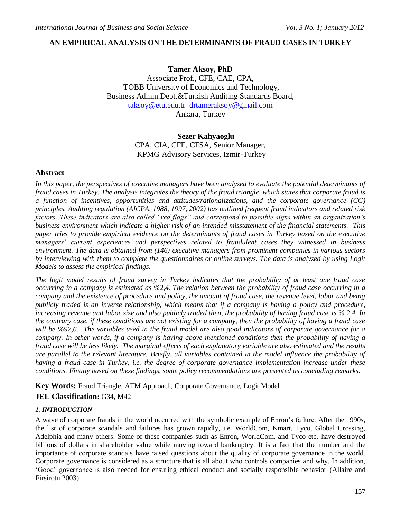# **AN EMPIRICAL ANALYSIS ON THE DETERMINANTS OF FRAUD CASES IN TURKEY**

**Tamer Aksoy, PhD**  Associate Prof., CFE, CAE, CPA, TOBB University of Economics and Technology, Business Admin.Dept.&Turkish Auditing Standards Board, [taksoy@etu.edu.tr](mailto:taksoy@etu.edu.tr) [drtameraksoy@gmail.com](mailto:drtameraksoy@gmail.com)

Ankara, Turkey

## **Sezer Kahyaoglu**

CPA, CIA, CFE, CFSA, Senior Manager, KPMG Advisory Services, Izmir-Turkey

## **Abstract**

*In this paper, the perspectives of executive managers have been analyzed to evaluate the potential determinants of fraud cases in Turkey. The analysis integrates the theory of the fraud triangle, which states that corporate fraud is a function of incentives, opportunities and attitudes/rationalizations, and the corporate governance (CG) principles. Auditing regulation (AICPA, 1988, 1997, 2002) has outlined frequent fraud indicators and related risk factors. These indicators are also called "red flags" and correspond to possible signs within an organization's business environment which indicate a higher risk of an intended misstatement of the financial statements. This paper tries to provide empirical evidence on the determinants of fraud cases in Turkey based on the executive managers' current experiences and perspectives related to fraudulent cases they witnessed in business environment. The data is obtained from (146) executive managers from prominent companies in various sectors by interviewing with them to complete the questionnaires or online surveys. The data is analyzed by using Logit Models to assess the empirical findings.*

*The logit model results of fraud survey in Turkey indicates that the probability of at least one fraud case occurring in a company is estimated as %2,4. The relation between the probability of fraud case occurring in a company and the existence of procedure and policy, the amount of fraud case, the revenue level, labor and being publicly traded is an inverse relationship, which means that if a company is having a policy and procedure, increasing revenue and labor size and also publicly traded then, the probability of having fraud case is % 2,4. In the contrary case, if these conditions are not existing for a company, then the probability of having a fraud case will be %97,6. The variables used in the fraud model are also good indicators of corporate governance for a company. In other words, if a company is having above mentioned conditions then the probability of having a fraud case will be less likely. The marginal effects of each explanatory variable are also estimated and the results are parallel to the relevant literature. Briefly, all variables contained in the model influence the probability of having a fraud case in Turkey, i.e. the degree of corporate governance implementation increase under these conditions. Finally based on these findings, some policy recommendations are presented as concluding remarks.*

**Key Words:** Fraud Triangle, ATM Approach, Corporate Governance, Logit Model **JEL Classification:** G34, M42

## *1. INTRODUCTION*

A wave of corporate frauds in the world occurred with the symbolic example of Enron"s failure. After the 1990s, the list of corporate scandals and failures has grown rapidly, i.e. WorldCom, Kmart, Tyco, Global Crossing, Adelphia and many others. Some of these companies such as Enron, WorldCom, and Tyco etc. have destroyed billions of dollars in shareholder value while moving toward bankruptcy. It is a fact that the number and the importance of corporate scandals have raised questions about the quality of corporate governance in the world. Corporate governance is considered as a structure that is all about who controls companies and why. In addition, "Good" governance is also needed for ensuring ethical conduct and socially responsible behavior (Allaire and Firsirotu 2003).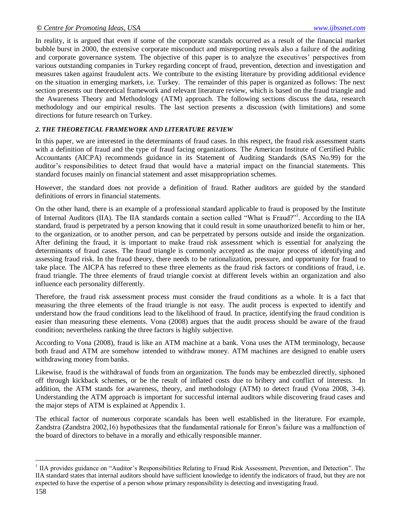In reality, it is argued that even if some of the corporate scandals occurred as a result of the financial market bubble burst in 2000, the extensive corporate misconduct and misreporting reveals also a failure of the auditing and corporate governance system. The objective of this paper is to analyze the executives' perspectives from various outstanding companies in Turkey regarding concept of fraud, prevention, detection and investigation and measures taken against fraudulent acts. We contribute to the existing literature by providing additional evidence on the situation in emerging markets, i.e. Turkey. The remainder of this paper is organized as follows: The next section presents our theoretical framework and relevant literature review, which is based on the fraud triangle and the Awareness Theory and Methodology (ATM) approach. The following sections discuss the data, research methodology and our empirical results. The last section presents a discussion (with limitations) and some directions for future research on Turkey.

## *2. THE THEORETICAL FRAMEWORK AND LITERATURE REVIEW*

In this paper, we are interested in the determinants of fraud cases. In this respect, the fraud risk assessment starts with a definition of fraud and the type of fraud facing organizations. The American Institute of Certified Public Accountants (AICPA) recommends guidance in its Statement of Auditing Standards (SAS No.99) for the auditor"s responsibilities to detect fraud that would have a material impact on the financial statements. This standard focuses mainly on financial statement and asset misappropriation schemes.

However, the standard does not provide a definition of fraud. Rather auditors are guided by the standard definitions of errors in financial statements.

On the other hand, there is an example of a professional standard applicable to fraud is proposed by the Institute of Internal Auditors (IIA). The IIA standards contain a section called "What is Fraud?"<sup>1</sup>. According to the IIA standard, fraud is perpetrated by a person knowing that it could result in some unauthorized benefit to him or her, to the organization, or to another person, and can be perpetrated by persons outside and inside the organization. After defining the fraud, it is important to make fraud risk assessment which is essential for analyzing the determinants of fraud cases. The fraud triangle is commonly accepted as the major process of identifying and assessing fraud risk. In the fraud theory, there needs to be rationalization, pressure, and opportunity for fraud to take place. The AICPA has referred to these three elements as the fraud risk factors or conditions of fraud, i.e. fraud triangle. The three elements of fraud triangle coexist at different levels within an organization and also influence each personality differently.

Therefore, the fraud risk assessment process must consider the fraud conditions as a whole. It is a fact that measuring the three elements of the fraud triangle is not easy. The audit process is expected to identify and understand how the fraud conditions lead to the likelihood of fraud. In practice, identifying the fraud condition is easier than measuring these elements. Vona (2008) argues that the audit process should be aware of the fraud condition; nevertheless ranking the three factors is highly subjective.

According to Vona (2008), fraud is like an ATM machine at a bank. Vona uses the ATM terminology, because both fraud and ATM are somehow intended to withdraw money. ATM machines are designed to enable users withdrawing money from banks.

Likewise, fraud is the withdrawal of funds from an organization. The funds may be embezzled directly, siphoned off through kickback schemes, or be the result of inflated costs due to bribery and conflict of interests. In addition, the ATM stands for awareness, theory, and methodology (ATM) to detect fraud (Vona 2008, 3-4). Understanding the ATM approach is important for successful internal auditors while discovering fraud cases and the major steps of ATM is explained at Appendix 1.

The ethical factor of numerous corporate scandals has been well established in the literature. For example, Zandstra (Zandstra 2002,16) hypothesizes that the fundamental rationale for Enron"s failure was a malfunction of the board of directors to behave in a morally and ethically responsible manner.

l

<sup>&</sup>lt;sup>1</sup> IIA provides guidance on "Auditor's Responsibilities Relating to Fraud Risk Assessment, Prevention, and Detection". The IIA standard states that internal auditors should have sufficient knowledge to identify the indicators of fraud, but they are not expected to have the expertise of a person whose primary responsibility is detecting and investigating fraud.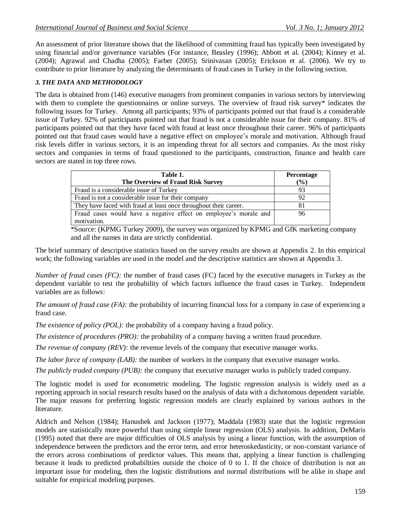An assessment of prior literature shows that the likelihood of committing fraud has typically been investigated by using financial and/or governance variables (For instance, Beasley (1996); Abbott et al. (2004); Kinney et al. (2004); Agrawal and Chadha (2005); Farber (2005); Srinivasan (2005); Erickson et al. (2006). We try to contribute to prior literature by analyzing the determinants of fraud cases in Turkey in the following section.

## *3. THE DATA AND METHODOLOGY*

The data is obtained from (146) executive managers from prominent companies in various sectors by interviewing with them to complete the questionnaires or online surveys. The overview of fraud risk survey\* indicates the following issues for Turkey. Among all participants; 93% of participants pointed out that fraud is a considerable issue of Turkey. 92% of participants pointed out that fraud is not a considerable issue for their company. 81% of participants pointed out that they have faced with fraud at least once throughout their career. 96% of participants pointed out that fraud cases would have a negative effect on employee"s morale and motivation. Although fraud risk levels differ in various sectors, it is an impending threat for all sectors and companies. As the most risky sectors and companies in terms of fraud questioned to the participants, construction, finance and health care sectors are stated in top three rows.

| Table 1.                                                                         | <b>Percentage</b> |
|----------------------------------------------------------------------------------|-------------------|
| The Overview of Fraud Risk Survey                                                | $(\%)$            |
| Fraud is a considerable issue of Turkey                                          | 93                |
| Fraud is not a considerable issue for their company                              | 92                |
| They have faced with fraud at least once throughout their career.                | 81                |
| Fraud cases would have a negative effect on employee's morale and<br>motivation. | 96                |

\*Source: (KPMG Turkey 2009), the survey was organized by KPMG and GfK marketing company and all the names in data are strictly confidential.

The brief summary of descriptive statistics based on the survey results are shown at Appendix 2. In this empirical work; the following variables are used in the model and the descriptive statistics are shown at Appendix 3.

*Number of fraud cases (FC)*: the number of fraud cases (FC) faced by the executive managers in Turkey as the dependent variable to test the probability of which factors influence the fraud cases in Turkey. Independent variables are as follows:

*The amount of fraud case (FA):* the probability of incurring financial loss for a company in case of experiencing a fraud case.

*The existence of policy (POL):* the probability of a company having a fraud policy.

*The existence of procedures (PRO):* the probability of a company having a written fraud procedure.

*The revenue of company (REV):* the revenue levels of the company that executive manager works.

*The labor force of company (LAB):* the number of workers in the company that executive manager works.

*The publicly traded company (PUB):* the company that executive manager works is publicly traded company.

The logistic model is used for econometric modeling. The logistic regression analysis is widely used as a reporting approach in social research results based on the analysis of data with a dichotomous dependent variable. The major reasons for preferring logistic regression models are clearly explained by various authors in the literature.

Aldrich and Nelson (1984); Hanushek and Jackson (1977); Maddala (1983) state that the logistic regression models are statistically more powerful than using simple linear regression (OLS) analysis. In addition, DeMaris (1995) noted that there are major difficulties of OLS analysis by using a linear function, with the assumption of independence between the predictors and the error term, and error heteroskedasticity, or non-constant variance of the errors across combinations of predictor values. This means that, applying a linear function is challenging because it leads to predicted probabilities outside the choice of 0 to 1. If the choice of distribution is not an important issue for modeling, then the logistic distributions and normal distributions will be alike in shape and suitable for empirical modeling purposes.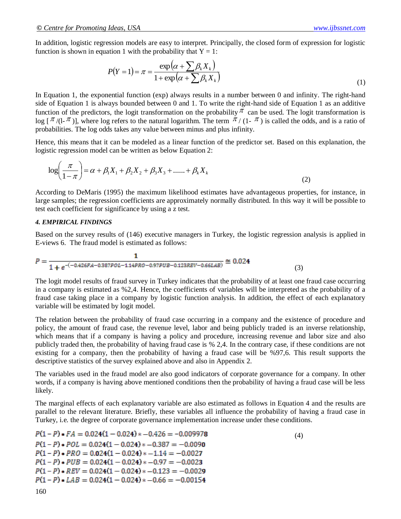In addition, logistic regression models are easy to interpret. Principally, the closed form of expression for logistic function is shown in equation 1 with the probability that  $Y = 1$ :

$$
P(Y=1) = \pi = \frac{\exp(\alpha + \sum \beta_k X_k)}{1 + \exp(\alpha + \sum \beta_k X_k)}
$$
(1)

In Equation 1, the exponential function (exp) always results in a number between 0 and infinity. The right-hand side of Equation 1 is always bounded between 0 and 1. To write the right-hand side of Equation 1 as an additive function of the predictors, the logit transformation on the probability  $\pi$  can be used. The logit transformation is  $\log [\pi/(1-\pi)]$ , where log refers to the natural logarithm. The term  $\pi/(1-\pi)$  is called the odds, and is a ratio of probabilities. The log odds takes any value between minus and plus infinity.

Hence, this means that it can be modeled as a linear function of the predictor set. Based on this explanation, the logistic regression model can be written as below Equation 2:

$$
\log\left(\frac{\pi}{1-\pi}\right) = \alpha + \beta_1 X_1 + \beta_2 X_2 + \beta_3 X_3 + \dots + \beta_k X_k
$$
\n(2)

According to DeMaris (1995) the maximum likelihood estimates have advantageous properties, for instance, in large samples; the regression coefficients are approximately normally distributed. In this way it will be possible to test each coefficient for significance by using a z test.

#### *4. EMPIRICAL FINDINGS*

Based on the survey results of (146) executive managers in Turkey, the logistic regression analysis is applied in E-views 6. The fraud model is estimated as follows:

$$
P = \frac{1}{1 + e^{-(-0.426FA - 0.387POL - 1.14PRO - 0.97PUB - 0.123REV - 0.66LAB)}} \approx 0.024
$$
\n(3)

The logit model results of fraud survey in Turkey indicates that the probability of at least one fraud case occurring in a company is estimated as %2,4. Hence, the coefficients of variables will be interpreted as the probability of a fraud case taking place in a company by logistic function analysis. In addition, the effect of each explanatory variable will be estimated by logit model.

The relation between the probability of fraud case occurring in a company and the existence of procedure and policy, the amount of fraud case, the revenue level, labor and being publicly traded is an inverse relationship, which means that if a company is having a policy and procedure, increasing revenue and labor size and also publicly traded then, the probability of having fraud case is % 2,4. In the contrary case, if these conditions are not existing for a company, then the probability of having a fraud case will be %97,6. This result supports the descriptive statistics of the survey explained above and also in Appendix 2.

The variables used in the fraud model are also good indicators of corporate governance for a company. In other words, if a company is having above mentioned conditions then the probability of having a fraud case will be less likely.

The marginal effects of each explanatory variable are also estimated as follows in Equation 4 and the results are parallel to the relevant literature. Briefly, these variables all influence the probability of having a fraud case in Turkey, i.e. the degree of corporate governance implementation increase under these conditions.

$$
P(1 - P) * FA = 0.024(1 - 0.024) * -0.426 = -0.009978
$$
  
\n
$$
P(1 - P) * POL = 0.024(1 - 0.024) * -0.387 = -0.0090
$$
  
\n
$$
P(1 - P) * PRO = 0.024(1 - 0.024) * -1.14 = -0.0027
$$
  
\n
$$
P(1 - P) * PUB = 0.024(1 - 0.024) * -0.97 = -0.0023
$$
  
\n
$$
P(1 - P) * REV = 0.024(1 - 0.024) * -0.123 = -0.0029
$$
  
\n
$$
P(1 - P) * LAB = 0.024(1 - 0.024) * -0.66 = -0.00154
$$
 (4)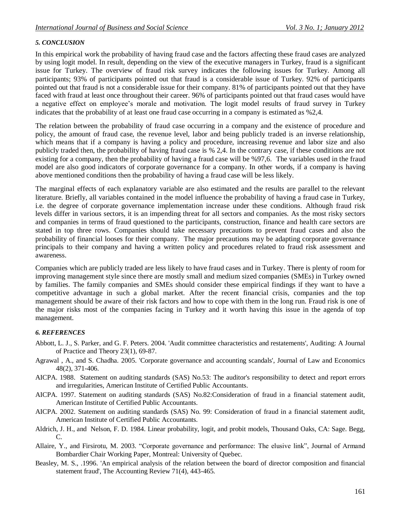## *5. CONCLUSION*

In this empirical work the probability of having fraud case and the factors affecting these fraud cases are analyzed by using logit model. In result, depending on the view of the executive managers in Turkey, fraud is a significant issue for Turkey. The overview of fraud risk survey indicates the following issues for Turkey. Among all participants; 93% of participants pointed out that fraud is a considerable issue of Turkey. 92% of participants pointed out that fraud is not a considerable issue for their company. 81% of participants pointed out that they have faced with fraud at least once throughout their career. 96% of participants pointed out that fraud cases would have a negative effect on employee's morale and motivation. The logit model results of fraud survey in Turkey indicates that the probability of at least one fraud case occurring in a company is estimated as %2,4.

The relation between the probability of fraud case occurring in a company and the existence of procedure and policy, the amount of fraud case, the revenue level, labor and being publicly traded is an inverse relationship, which means that if a company is having a policy and procedure, increasing revenue and labor size and also publicly traded then, the probability of having fraud case is % 2,4. In the contrary case, if these conditions are not existing for a company, then the probability of having a fraud case will be %97,6. The variables used in the fraud model are also good indicators of corporate governance for a company. In other words, if a company is having above mentioned conditions then the probability of having a fraud case will be less likely.

The marginal effects of each explanatory variable are also estimated and the results are parallel to the relevant literature. Briefly, all variables contained in the model influence the probability of having a fraud case in Turkey, i.e. the degree of corporate governance implementation increase under these conditions. Although fraud risk levels differ in various sectors, it is an impending threat for all sectors and companies. As the most risky sectors and companies in terms of fraud questioned to the participants, construction, finance and health care sectors are stated in top three rows. Companies should take necessary precautions to prevent fraud cases and also the probability of financial looses for their company. The major precautions may be adapting corporate governance principals to their company and having a written policy and procedures related to fraud risk assessment and awareness.

Companies which are publicly traded are less likely to have fraud cases and in Turkey. There is plenty of room for improving management style since there are mostly small and medium sized companies (SMEs) in Turkey owned by families. The family companies and SMEs should consider these empirical findings if they want to have a competitive advantage in such a global market. After the recent financial crisis, companies and the top management should be aware of their risk factors and how to cope with them in the long run. Fraud risk is one of the major risks most of the companies facing in Turkey and it worth having this issue in the agenda of top management.

### *6. REFERENCES*

- Abbott, L. J., S. Parker, and G. F. Peters. 2004. 'Audit committee characteristics and restatements', Auditing: A Journal of Practice and Theory 23(1), 69-87.
- Agrawal , A., and S. Chadha. 2005. 'Corporate governance and accounting scandals', Journal of Law and Economics 48(2), 371-406.
- AICPA. 1988. Statement on auditing standards (SAS) No.53: The auditor's responsibility to detect and report errors and irregularities, American Institute of Certified Public Accountants.
- AICPA. 1997. Statement on auditing standards (SAS) No.82:Consideration of fraud in a financial statement audit, American Institute of Certified Public Accountants.
- AICPA. 2002. Statement on auditing standards (SAS) No. 99: Consideration of fraud in a financial statement audit, American Institute of Certified Public Accountants.
- Aldrich, J. H., and Nelson, F. D. 1984. Linear probability, logit, and probit models, Thousand Oaks, CA: Sage. Begg, C.
- Allaire, Y., and Firsirotu, M. 2003. "Corporate governance and performance: The elusive link", Journal of Armand Bombardier Chair Working Paper, Montreal: University of Quebec.
- Beasley, M. S., .1996. 'An empirical analysis of the relation between the board of director composition and financial statement fraud', The Accounting Review 71(4), 443-465.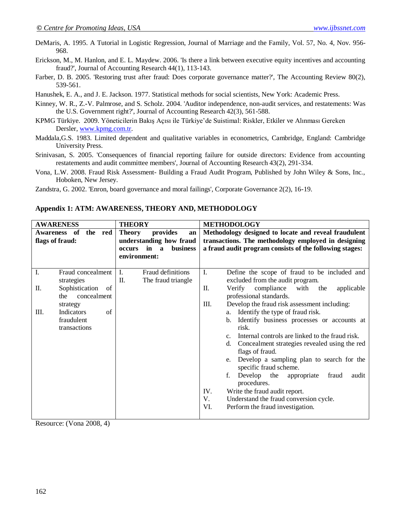DeMaris, A. 1995. A Tutorial in Logistic Regression, Journal of Marriage and the Family, Vol. 57, No. 4, Nov. 956- 968.

- Erickson, M., M. Hanlon, and E. L. Maydew. 2006. 'Is there a link between executive equity incentives and accounting fraud?', Journal of Accounting Research 44(1), 113-143.
- Farber, D. B. 2005. 'Restoring trust after fraud: Does corporate governance matter?', The Accounting Review 80(2), 539-561.
- Hanushek, E. A., and J. E. Jackson. 1977. Statistical methods for social scientists, New York: Academic Press.
- Kinney, W. R., Z.**-**V. Palmrose, and S. Scholz. 2004. 'Auditor independence, non-audit services, and restatements: Was the U.S. Government right?', Journal of Accounting Research 42(3), 561-588.
- KPMG Türkiye. 2009. Yöneticilerin Bakış Açısı ile Türkiye"de Suistimal: Riskler, Etkiler ve Alınması Gereken Dersler[, www.kpmg.com.tr.](http://www.kpmg.com.tr/)
- Maddala,G.S. 1983. Limited dependent and qualitative variables in econometrics, Cambridge, England: Cambridge University Press.
- Srinivasan, S. 2005. 'Consequences of financial reporting failure for outside directors: Evidence from accounting restatements and audit committee members', Journal of Accounting Research 43(2), 291-334.
- Vona, L.W. 2008. Fraud Risk Assessment- Building a Fraud Audit Program, Published by John Wiley & Sons, Inc., Hoboken, New Jersey.
- Zandstra, G. 2002. 'Enron, board governance and moral failings', Corporate Governance 2(2), 16-19.

| <b>AWARENESS</b><br><b>THEORY</b>   |                                                                               |                                                                                                                        | <b>METHODOLOGY</b>                                                                                                                                                                                                                                                                                                                                                                                                                                                                                                                                                                                           |  |  |
|-------------------------------------|-------------------------------------------------------------------------------|------------------------------------------------------------------------------------------------------------------------|--------------------------------------------------------------------------------------------------------------------------------------------------------------------------------------------------------------------------------------------------------------------------------------------------------------------------------------------------------------------------------------------------------------------------------------------------------------------------------------------------------------------------------------------------------------------------------------------------------------|--|--|
| <b>Awareness</b><br>flags of fraud: | - of<br>the red                                                               | provides<br><b>Theory</b><br>an<br>understanding how fraud<br>in<br>business<br>occurs<br>$\mathbf{a}$<br>environment: | Methodology designed to locate and reveal fraudulent<br>transactions. The methodology employed in designing<br>a fraud audit program consists of the following stages:                                                                                                                                                                                                                                                                                                                                                                                                                                       |  |  |
| I.<br>П.                            | Fraud concealment<br>strategies<br>Sophistication<br>of<br>concealment<br>the | Fraud definitions<br>I.<br>$\Pi$ .<br>The fraud triangle                                                               | I.<br>Define the scope of fraud to be included and<br>excluded from the audit program.<br>П.<br>compliance<br>with<br>Verify<br>applicable<br>the<br>professional standards.                                                                                                                                                                                                                                                                                                                                                                                                                                 |  |  |
| Ш.                                  | strategy<br>Indicators<br>of<br>fraudulent<br>transactions                    |                                                                                                                        | Ш.<br>Develop the fraud risk assessment including:<br>Identify the type of fraud risk.<br>a.<br>Identify business processes or accounts at<br>$\mathbf{b}$ .<br>risk.<br>Internal controls are linked to the fraud risk.<br>C <sub>1</sub><br>Concealment strategies revealed using the red<br>d.<br>flags of fraud.<br>Develop a sampling plan to search for the<br>e.<br>specific fraud scheme.<br>f.<br>Develop<br>the<br>fraud<br>appropriate<br>audit<br>procedures.<br>IV.<br>Write the fraud audit report.<br>V.<br>Understand the fraud conversion cycle.<br>VI.<br>Perform the fraud investigation. |  |  |

#### **Appendix 1: ATM: AWARENESS, THEORY AND, METHODOLOGY**

Resource: (Vona 2008, 4)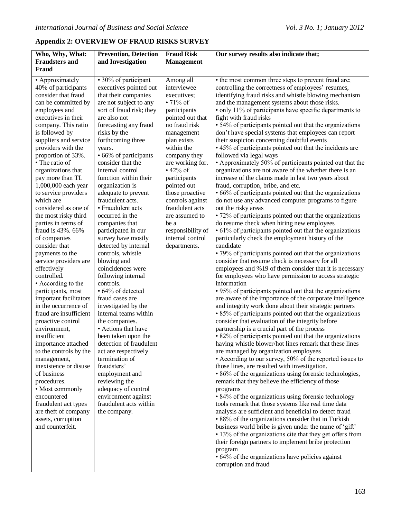# **Appendix 2: OVERVIEW OF FRAUD RISKS SURVEY**

| Who, Why, What:                          | <b>Prevention, Detection</b>                  | <b>Fraud Risk</b> | Our survey results also indicate that;                               |  |
|------------------------------------------|-----------------------------------------------|-------------------|----------------------------------------------------------------------|--|
| <b>Fraudsters and</b>                    | and Investigation                             | <b>Management</b> |                                                                      |  |
| Fraud                                    |                                               |                   |                                                                      |  |
| • Approximately                          | • 30% of participant                          | Among all         | • the most common three steps to prevent fraud are;                  |  |
| 40% of participants                      | executives pointed out                        | interviewee       | controlling the correctness of employees' resumes,                   |  |
| consider that fraud                      | that their companies                          | executives;       | identifying fraud risks and whistle blowing mechanism                |  |
| can be committed by                      | are not subject to any                        | $\cdot$ 71% of    | and the management systems about those risks.                        |  |
| employees and                            | sort of fraud risk; they                      | participants      | • only 11% of participants have specific departments to              |  |
| executives in their                      | are also not                                  | pointed out that  | fight with fraud risks                                               |  |
| company. This ratio                      | forecasting any fraud                         | no fraud risk     | • 54% of participants pointed out that the organizations             |  |
| is followed by                           | risks by the                                  | management        | don't have special systems that employees can report                 |  |
| suppliers and service                    | forthcoming three                             | plan exists       | their suspicion concerning doubtful events                           |  |
| providers with the                       | years.                                        | within the        | • 45% of participants pointed out that the incidents are             |  |
| proportion of 33%.                       | • 66% of participants                         | company they      | followed via legal ways                                              |  |
| • The ratio of                           | consider that the                             | are working for.  | • Approximately 50% of participants pointed out that the             |  |
| organizations that                       | internal control                              | $\cdot$ 42% of    | organizations are not aware of the whether there is an               |  |
| pay more than TL                         | function within their                         | participants      | increase of the claims made in last two years about                  |  |
| 1,000,000 each year                      | organization is                               | pointed out       | fraud, corruption, bribe, and etc.                                   |  |
| to service providers                     | adequate to prevent                           | those proactive   | • 66% of participants pointed out that the organizations             |  |
| which are                                | fraudulent acts.                              | controls against  | do not use any advanced computer programs to figure                  |  |
| considered as one of                     | • Fraudulent acts                             | fraudulent acts   | out the risky areas                                                  |  |
| the most risky third                     | occurred in the                               | are assumed to    | • 72% of participants pointed out that the organizations             |  |
| parties in terms of                      | companies that                                | be a              | do resume check when hiring new employees                            |  |
| fraud is 43%. 66%                        | participated in our                           | responsibility of | • 61% of participants pointed out that the organizations             |  |
| of companies                             | survey have mostly                            | internal control  | particularly check the employment history of the                     |  |
| consider that                            | detected by internal                          | departments.      | candidate                                                            |  |
| payments to the                          | controls, whistle                             |                   | • 79% of participants pointed out that the organizations             |  |
| service providers are                    | blowing and                                   |                   | consider that resume check is necessary for all                      |  |
| effectively                              | coincidences were                             |                   | employees and %19 of them consider that it is necessary              |  |
| controlled.                              | following internal<br>controls.               |                   | for employees who have permission to access strategic<br>information |  |
| • According to the<br>participants, most | • 64% of detected                             |                   | • 95% of participants pointed out that the organizations             |  |
| important facilitators                   | fraud cases are                               |                   | are aware of the importance of the corporate intelligence            |  |
| in the occurrence of                     | investigated by the                           |                   | and integrity work done about their strategic partners               |  |
| fraud are insufficient                   | internal teams within                         |                   | • 85% of participants pointed out that the organizations             |  |
| proactive control                        | the companies.                                |                   | consider that evaluation of the integrity before                     |  |
| environment,                             | • Actions that have                           |                   | partnership is a crucial part of the process                         |  |
| insufficient                             | been taken upon the                           |                   | • 82% of participants pointed out that the organizations             |  |
|                                          | importance attached   detection of fraudulent |                   | having whistle blower/hot lines remark that these lines              |  |
| to the controls by the                   | act are respectively                          |                   | are managed by organization employees                                |  |
| management,                              | termination of                                |                   | • According to our survey, 50% of the reported issues to             |  |
| inexistence or disuse                    | fraudsters'                                   |                   | those lines, are resulted with investigation.                        |  |
| of business                              | employment and                                |                   | • 86% of the organizations using forensic technologies,              |  |
| procedures.                              | reviewing the                                 |                   | remark that they believe the efficiency of those                     |  |
| • Most commonly                          | adequacy of control                           |                   | programs                                                             |  |
| encountered                              | environment against                           |                   | • 84% of the organizations using forensic technology                 |  |
| fraudulent act types                     | fraudulent acts within                        |                   | tools remark that those systems like real time data                  |  |
| are theft of company                     | the company.                                  |                   | analysis are sufficient and beneficial to detect fraud               |  |
| assets, corruption                       |                                               |                   | • 88% of the organizations consider that in Turkish                  |  |
| and counterfeit.                         |                                               |                   | business world bribe is given under the name of 'gift'               |  |
|                                          |                                               |                   | • 13% of the organizations cite that they get offers from            |  |
|                                          |                                               |                   | their foreign partners to implement bribe protection                 |  |
|                                          |                                               |                   | program                                                              |  |
|                                          |                                               |                   | • 64% of the organizations have policies against                     |  |
|                                          |                                               |                   | corruption and fraud                                                 |  |